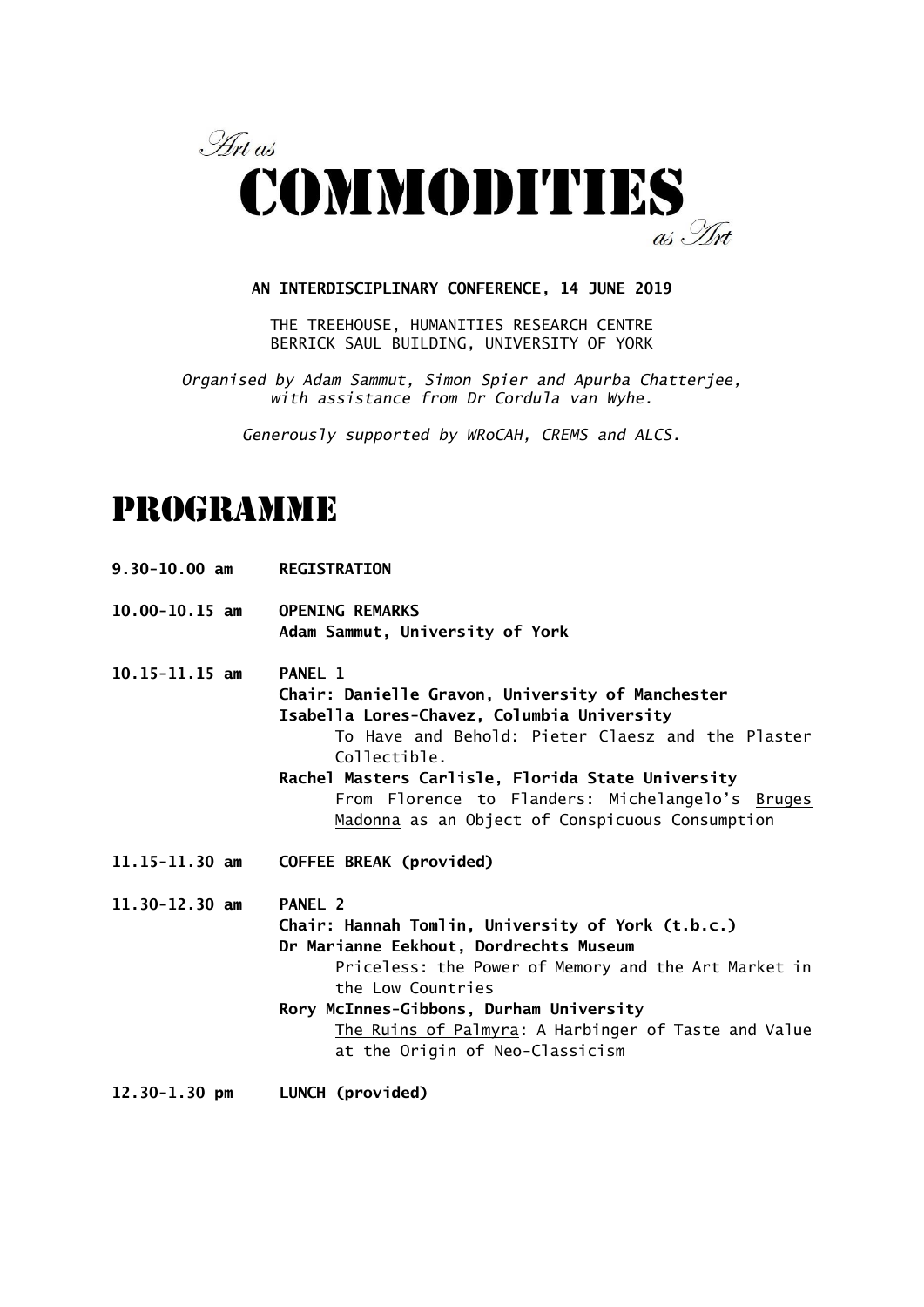

#### **AN INTERDISCIPLINARY CONFERENCE, 14 JUNE 2019**

THE TREEHOUSE, HUMANITIES RESEARCH CENTRE BERRICK SAUL BUILDING, UNIVERSITY OF YORK

*Organised by Adam Sammut, Simon Spier and Apurba Chatterjee, with assistance from Dr Cordula van Wyhe.*

*Generously supported by WRoCAH, CREMS and ALCS.*

# PROGRAMME

**9.30-10.00 am REGISTRATION**

**10.00-10.15 am OPENING REMARKS Adam Sammut, University of York**

**10.15-11.15 am PANEL 1 Chair: Danielle Gravon, University of Manchester Isabella Lores-Chavez, Columbia University** To Have and Behold: Pieter Claesz and the Plaster Collectible. **Rachel Masters Carlisle, Florida State University**

> From Florence to Flanders: Michelangelo's Bruges Madonna as an Object of Conspicuous Consumption

**11.15-11.30 am COFFEE BREAK (provided)**

**11.30-12.30 am PANEL 2 Chair: Hannah Tomlin, University of York (t.b.c.) Dr Marianne Eekhout, Dordrechts Museum** Priceless: the Power of Memory and the Art Market in the Low Countries **Rory McInnes-Gibbons, Durham University** The Ruins of Palmyra: A Harbinger of Taste and Value at the Origin of Neo-Classicism

**12.30-1.30 pm LUNCH (provided)**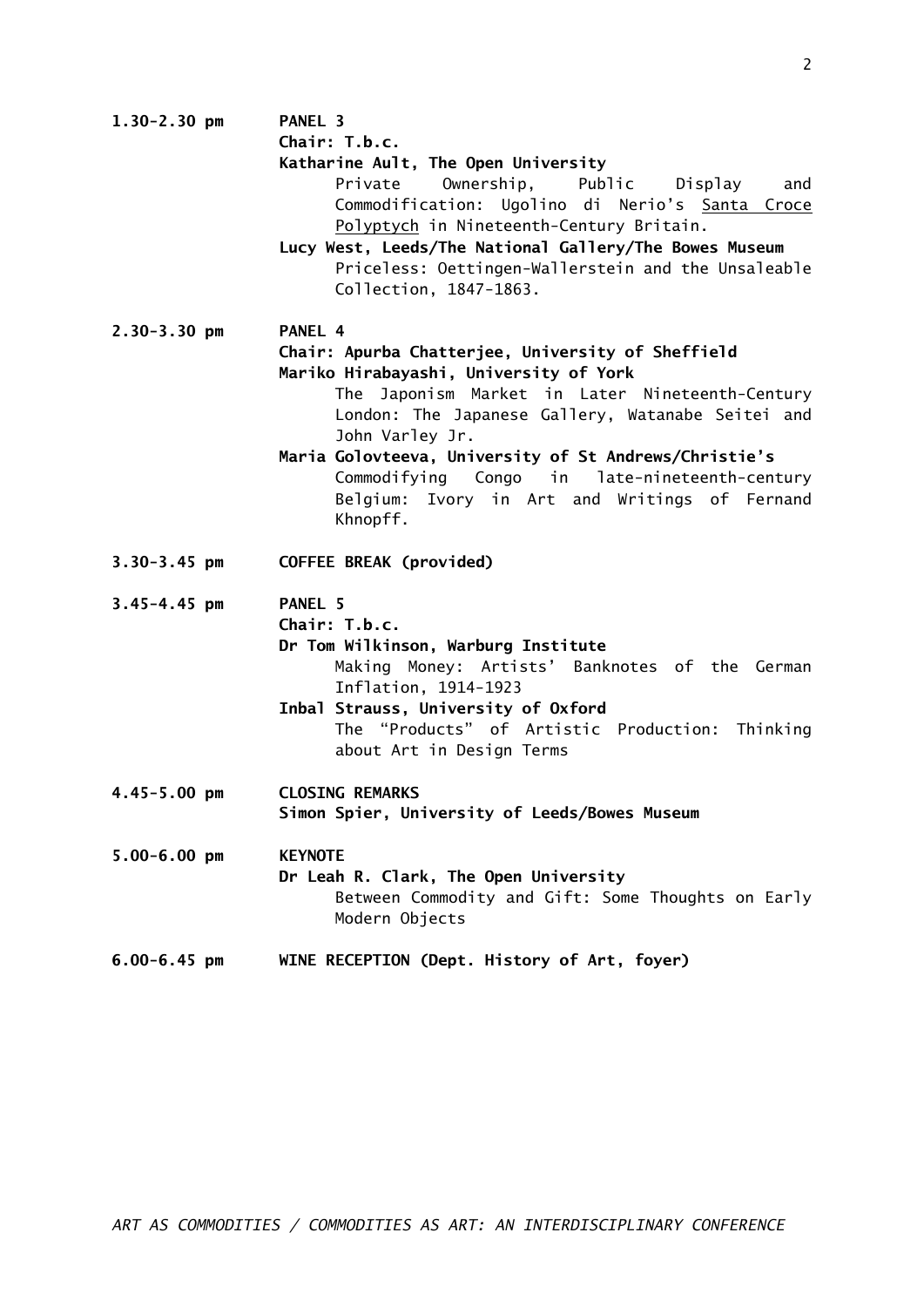|                  | Chair: T.b.c.                                          |
|------------------|--------------------------------------------------------|
|                  | Katharine Ault, The Open University                    |
|                  | Private<br>Ownership, Public Display<br>and            |
|                  | Commodification: Ugolino di Nerio's Santa Croce        |
|                  | Polyptych in Nineteenth-Century Britain.               |
|                  | Lucy West, Leeds/The National Gallery/The Bowes Museum |
|                  | Priceless: Oettingen-Wallerstein and the Unsaleable    |
|                  | Collection, 1847-1863.                                 |
|                  |                                                        |
| $2.30 - 3.30$ pm | PANEL 4                                                |
|                  | Chair: Apurba Chatterjee, University of Sheffield      |
|                  | Mariko Hirabayashi, University of York                 |
|                  | The Japonism Market in Later Nineteenth-Century        |
|                  | London: The Japanese Gallery, Watanabe Seitei and      |
|                  | John Varley Jr.                                        |
|                  | Maria Golovteeva, University of St Andrews/Christie's  |
|                  | Commodifying Congo in late-nineteenth-century          |
|                  | Belgium: Ivory in Art and Writings of Fernand          |
|                  | Khnopff.                                               |
|                  |                                                        |
| $3.30 - 3.45$ pm | COFFEE BREAK (provided)                                |
|                  |                                                        |
| $3.45 - 4.45$ pm | PANEL <sub>5</sub>                                     |
|                  | Chair: T.b.c.                                          |
|                  | Dr Tom Wilkinson, Warburg Institute                    |
|                  | Making Money: Artists' Banknotes of the German         |
|                  | Inflation, 1914-1923                                   |
|                  | Inbal Strauss, University of Oxford                    |
|                  | The "Products" of Artistic Production: Thinking        |
|                  | about Art in Design Terms                              |
|                  |                                                        |
| $4.45 - 5.00$ pm | <b>CLOSING REMARKS</b>                                 |
|                  | Simon Spier, University of Leeds/Bowes Museum          |
| $5.00 - 6.00$ pm | <b>KEYNOTE</b>                                         |
|                  | Dr Leah R. Clark, The Open University                  |
|                  | Between Commodity and Gift: Some Thoughts on Early     |
|                  | Modern Objects                                         |
|                  |                                                        |
| $6.00 - 6.45$ pm | WINE RECEPTION (Dept. History of Art, foyer)           |
|                  |                                                        |

**1.30-2.30 pm PANEL 3**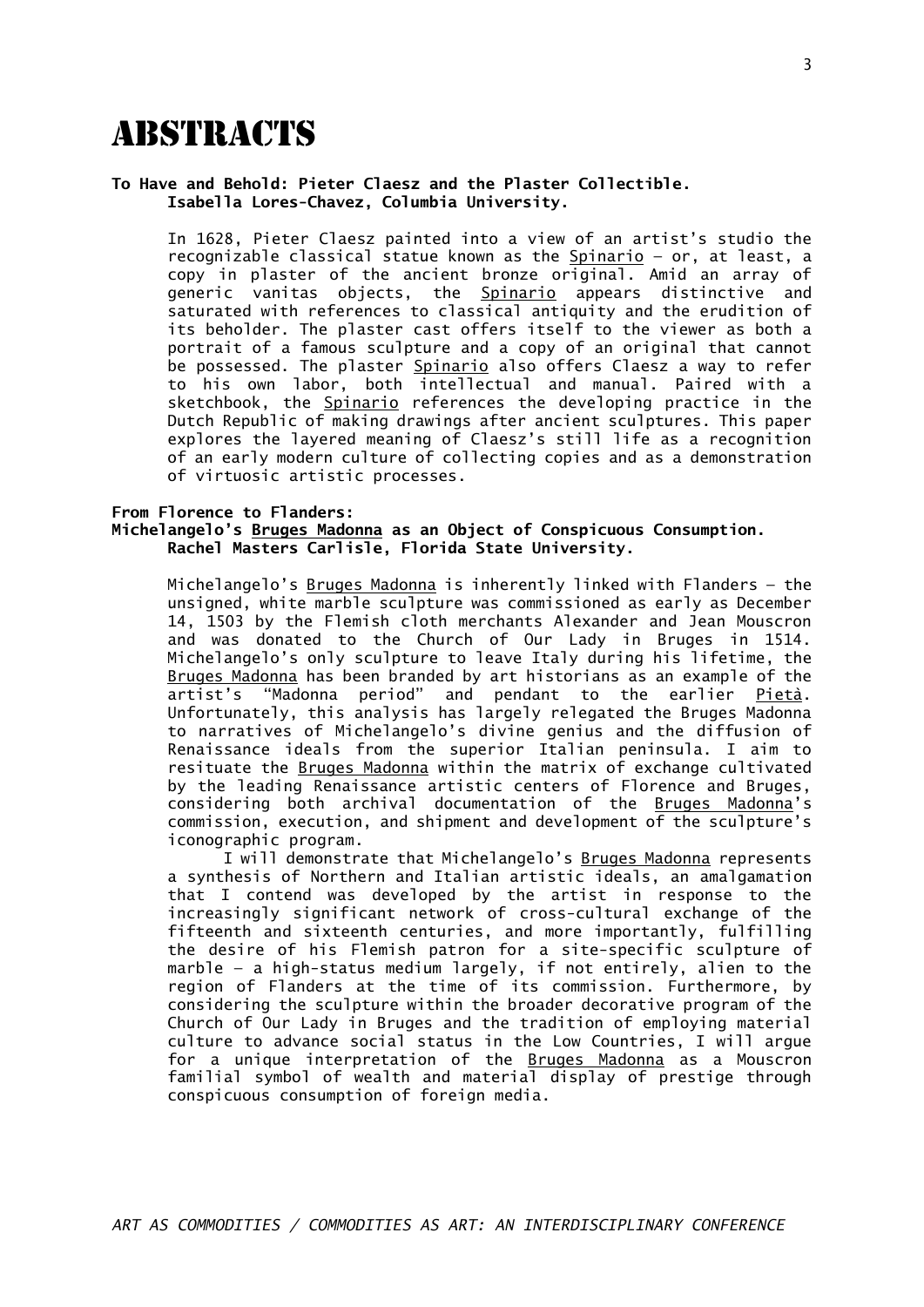### **ABSTRACTS**

#### **To Have and Behold: Pieter Claesz and the Plaster Collectible. Isabella Lores-Chavez, Columbia University.**

In 1628, Pieter Claesz painted into a view of an artist's studio the recognizable classical statue known as the Spinario - or, at least, a copy in plaster of the ancient bronze original. Amid an array of generic vanitas objects, the **Spinario** appears distinctive and saturated with references to classical antiquity and the erudition of its beholder. The plaster cast offers itself to the viewer as both a portrait of a famous sculpture and a copy of an original that cannot be possessed. The plaster Spinario also offers Claesz a way to refer to his own labor, both intellectual and manual. Paired with a sketchbook, the Spinario references the developing practice in the Dutch Republic of making drawings after ancient sculptures. This paper explores the layered meaning of Claesz's still life as a recognition of an early modern culture of collecting copies and as a demonstration of virtuosic artistic processes.

#### **From Florence to Flanders: Michelangelo's Bruges Madonna as an Object of Conspicuous Consumption. Rachel Masters Carlisle, Florida State University.**

Michelangelo's Bruges Madonna is inherently linked with Flanders — the unsigned, white marble sculpture was commissioned as early as December 14, 1503 by the Flemish cloth merchants Alexander and Jean Mouscron and was donated to the Church of Our Lady in Bruges in 1514. Michelangelo's only sculpture to leave Italy during his lifetime, the Bruges Madonna has been branded by art historians as an example of the artist's "Madonna period" and pendant to the earlier Pietà. Unfortunately, this analysis has largely relegated the Bruges Madonna to narratives of Michelangelo's divine genius and the diffusion of Renaissance ideals from the superior Italian peninsula. I aim to resituate the Bruges Madonna within the matrix of exchange cultivated by the leading Renaissance artistic centers of Florence and Bruges, considering both archival documentation of the Bruges Madonna's commission, execution, and shipment and development of the sculpture's iconographic program.

I will demonstrate that Michelangelo's Bruges Madonna represents a synthesis of Northern and Italian artistic ideals, an amalgamation that I contend was developed by the artist in response to the increasingly significant network of cross-cultural exchange of the fifteenth and sixteenth centuries, and more importantly, fulfilling the desire of his Flemish patron for a site-specific sculpture of marble — a high-status medium largely, if not entirely, alien to the region of Flanders at the time of its commission. Furthermore, by considering the sculpture within the broader decorative program of the Church of Our Lady in Bruges and the tradition of employing material culture to advance social status in the Low Countries, I will argue for a unique interpretation of the Bruges Madonna as a Mouscron familial symbol of wealth and material display of prestige through conspicuous consumption of foreign media.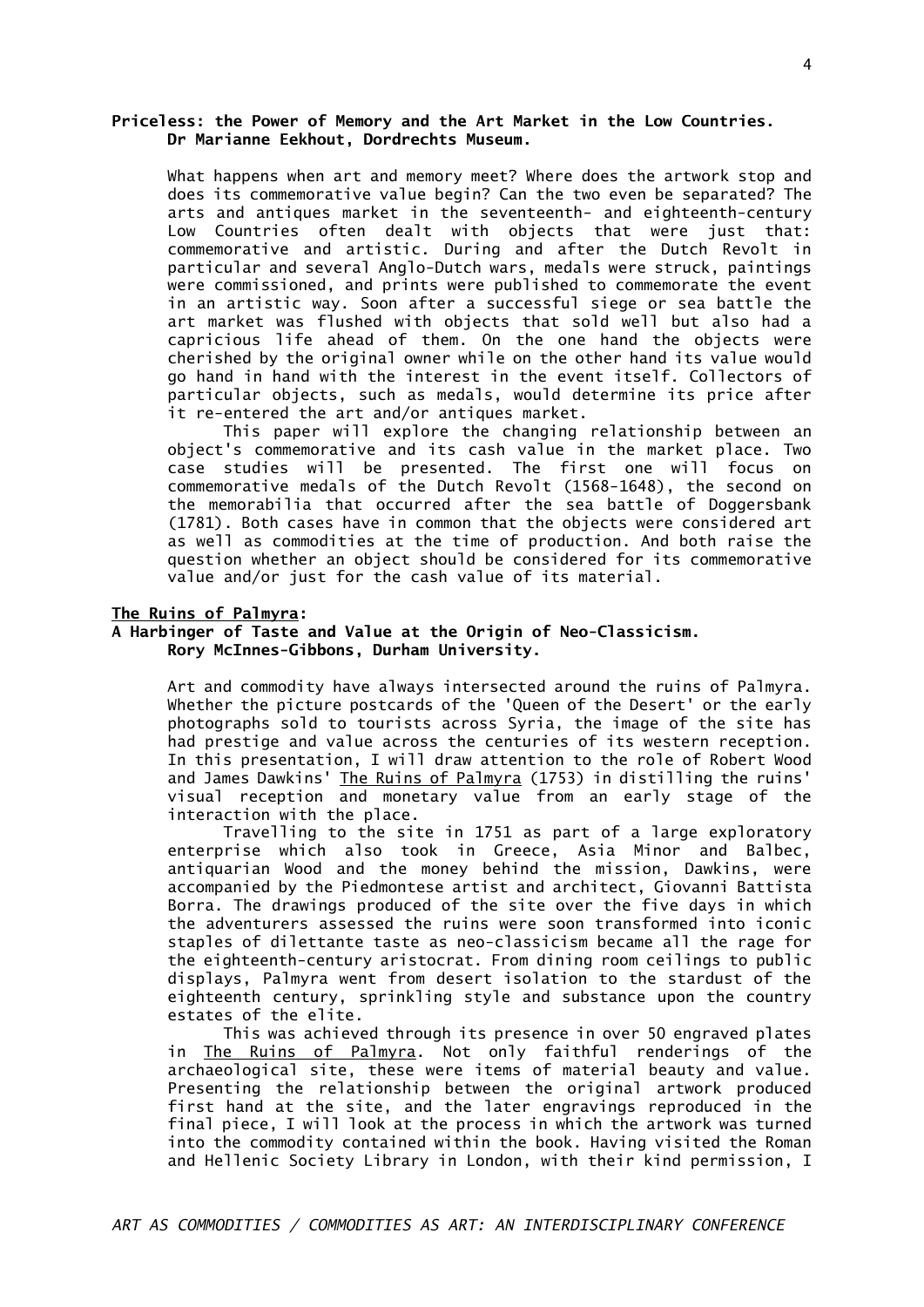#### **Priceless: the Power of Memory and the Art Market in the Low Countries. Dr Marianne Eekhout, Dordrechts Museum.**

What happens when art and memory meet? Where does the artwork stop and does its commemorative value begin? Can the two even be separated? The arts and antiques market in the seventeenth- and eighteenth-century Low Countries often dealt with objects that were just that: commemorative and artistic. During and after the Dutch Revolt in particular and several Anglo-Dutch wars, medals were struck, paintings were commissioned, and prints were published to commemorate the event in an artistic way. Soon after a successful siege or sea battle the art market was flushed with objects that sold well but also had a capricious life ahead of them. On the one hand the objects were cherished by the original owner while on the other hand its value would go hand in hand with the interest in the event itself. Collectors of particular objects, such as medals, would determine its price after it re-entered the art and/or antiques market.

This paper will explore the changing relationship between an object's commemorative and its cash value in the market place. Two case studies will be presented. The first one will focus on commemorative medals of the Dutch Revolt (1568-1648), the second on the memorabilia that occurred after the sea battle of Doggersbank (1781). Both cases have in common that the objects were considered art as well as commodities at the time of production. And both raise the question whether an object should be considered for its commemorative value and/or just for the cash value of its material.

#### **The Ruins of Palmyra:**

#### **A Harbinger of Taste and Value at the Origin of Neo-Classicism. Rory McInnes-Gibbons, Durham University.**

Art and commodity have always intersected around the ruins of Palmyra. Whether the picture postcards of the 'Queen of the Desert' or the early photographs sold to tourists across Syria, the image of the site has had prestige and value across the centuries of its western reception. In this presentation, I will draw attention to the role of Robert Wood and James Dawkins' The Ruins of Palmyra (1753) in distilling the ruins' visual reception and monetary value from an early stage of the interaction with the place.

Travelling to the site in 1751 as part of a large exploratory enterprise which also took in Greece, Asia Minor and Balbec, antiquarian Wood and the money behind the mission, Dawkins, were accompanied by the Piedmontese artist and architect, Giovanni Battista Borra. The drawings produced of the site over the five days in which the adventurers assessed the ruins were soon transformed into iconic staples of dilettante taste as neo-classicism became all the rage for the eighteenth-century aristocrat. From dining room ceilings to public displays, Palmyra went from desert isolation to the stardust of the eighteenth century, sprinkling style and substance upon the country estates of the elite.

This was achieved through its presence in over 50 engraved plates in The Ruins of Palmyra. Not only faithful renderings of the archaeological site, these were items of material beauty and value. Presenting the relationship between the original artwork produced first hand at the site, and the later engravings reproduced in the final piece, I will look at the process in which the artwork was turned into the commodity contained within the book. Having visited the Roman and Hellenic Society Library in London, with their kind permission, I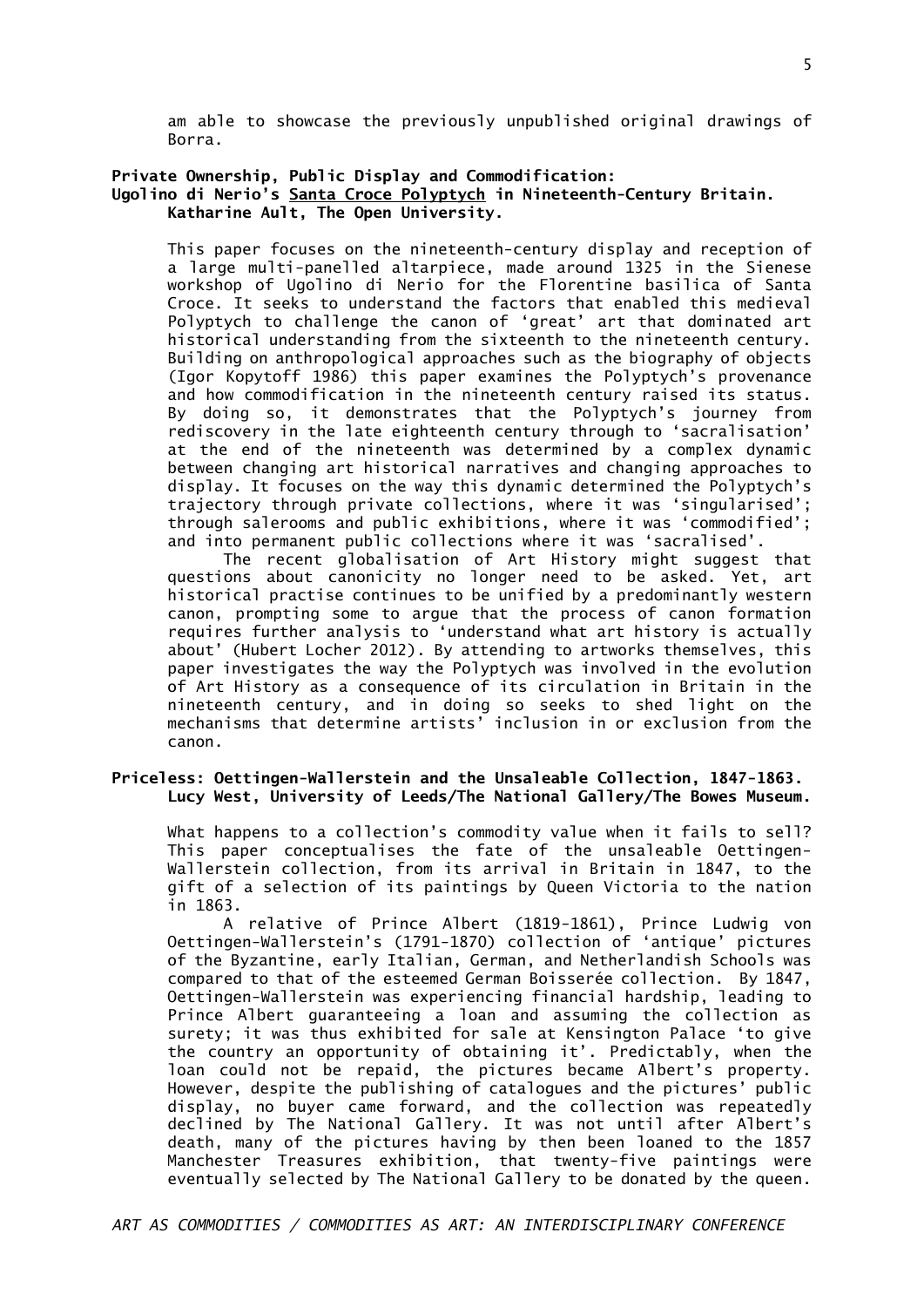am able to showcase the previously unpublished original drawings of Borra.

#### **Private Ownership, Public Display and Commodification: Ugolino di Nerio's Santa Croce Polyptych in Nineteenth-Century Britain. Katharine Ault, The Open University.**

This paper focuses on the nineteenth-century display and reception of a large multi-panelled altarpiece, made around 1325 in the Sienese workshop of Ugolino di Nerio for the Florentine basilica of Santa Croce. It seeks to understand the factors that enabled this medieval Polyptych to challenge the canon of 'great' art that dominated art historical understanding from the sixteenth to the nineteenth century. Building on anthropological approaches such as the biography of objects (Igor Kopytoff 1986) this paper examines the Polyptych's provenance and how commodification in the nineteenth century raised its status. By doing so, it demonstrates that the Polyptych's journey from rediscovery in the late eighteenth century through to 'sacralisation' at the end of the nineteenth was determined by a complex dynamic between changing art historical narratives and changing approaches to display. It focuses on the way this dynamic determined the Polyptych's trajectory through private collections, where it was 'singularised'; through salerooms and public exhibitions, where it was 'commodified'; and into permanent public collections where it was 'sacralised'.

The recent globalisation of Art History might suggest that questions about canonicity no longer need to be asked. Yet, art historical practise continues to be unified by a predominantly western canon, prompting some to argue that the process of canon formation requires further analysis to 'understand what art history is actually about' (Hubert Locher 2012). By attending to artworks themselves, this paper investigates the way the Polyptych was involved in the evolution of Art History as a consequence of its circulation in Britain in the nineteenth century, and in doing so seeks to shed light on the mechanisms that determine artists' inclusion in or exclusion from the canon.

#### **Priceless: Oettingen-Wallerstein and the Unsaleable Collection, 1847-1863. Lucy West, University of Leeds/The National Gallery/The Bowes Museum.**

What happens to a collection's commodity value when it fails to sell? This paper conceptualises the fate of the unsaleable Oettingen-Wallerstein collection, from its arrival in Britain in 1847, to the gift of a selection of its paintings by Queen Victoria to the nation in 1863.

A relative of Prince Albert (1819-1861), Prince Ludwig von Oettingen-Wallerstein's (1791-1870) collection of 'antique' pictures of the Byzantine, early Italian, German, and Netherlandish Schools was compared to that of the esteemed German Boisserée collection. By 1847, Oettingen-Wallerstein was experiencing financial hardship, leading to Prince Albert guaranteeing a loan and assuming the collection as surety; it was thus exhibited for sale at Kensington Palace 'to give the country an opportunity of obtaining it'. Predictably, when the loan could not be repaid, the pictures became Albert's property. However, despite the publishing of catalogues and the pictures' public display, no buyer came forward, and the collection was repeatedly declined by The National Gallery. It was not until after Albert's death, many of the pictures having by then been loaned to the 1857 Manchester Treasures exhibition, that twenty-five paintings were eventually selected by The National Gallery to be donated by the queen.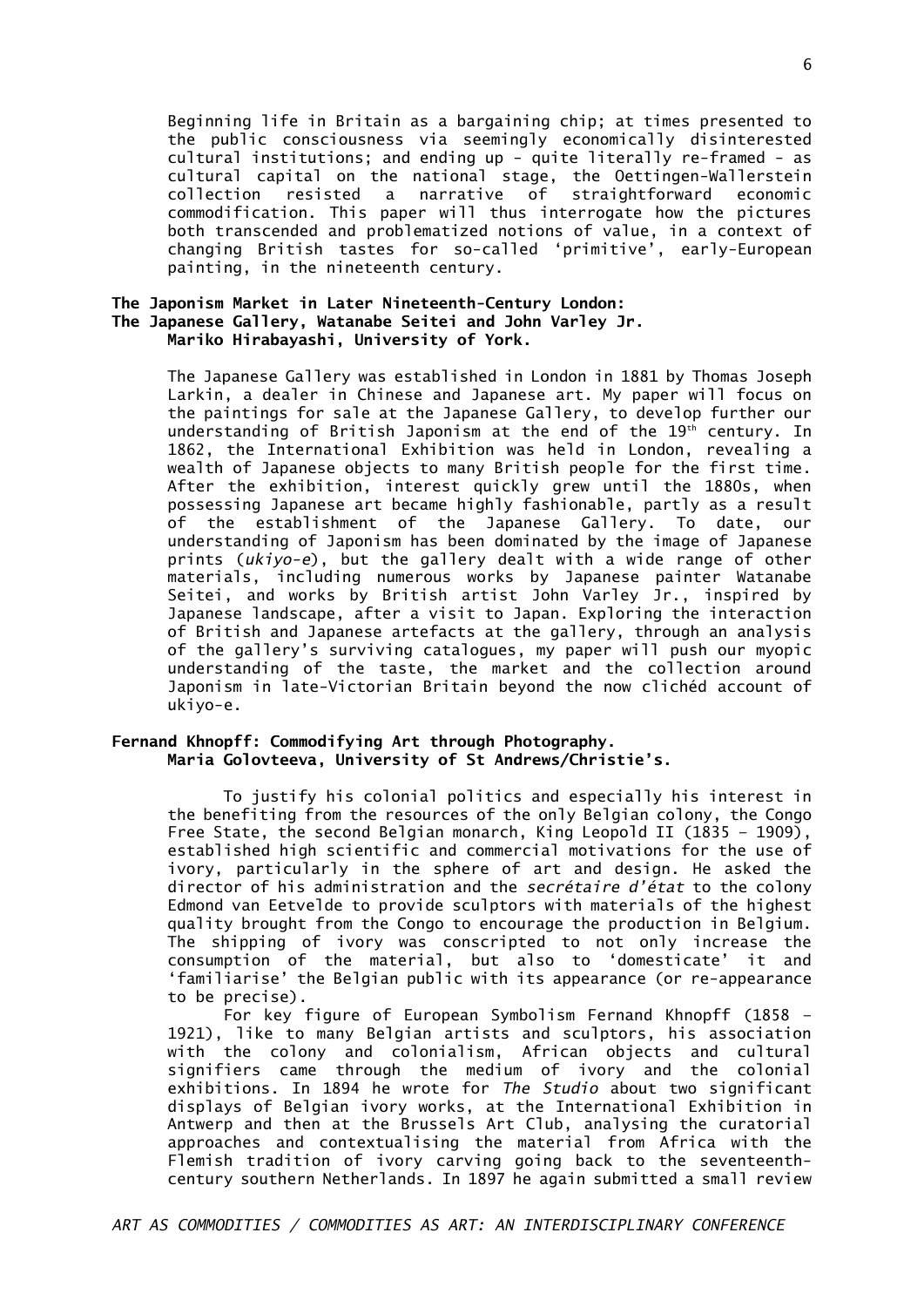Beginning life in Britain as a bargaining chip; at times presented to the public consciousness via seemingly economically disinterested cultural institutions; and ending up - quite literally re-framed - as cultural capital on the national stage, the Oettingen-Wallerstein collection resisted a narrative of straightforward economic commodification. This paper will thus interrogate how the pictures both transcended and problematized notions of value, in a context of changing British tastes for so-called 'primitive', early-European painting, in the nineteenth century.

#### **The Japonism Market in Later Nineteenth-Century London: The Japanese Gallery, Watanabe Seitei and John Varley Jr. Mariko Hirabayashi, University of York.**

The Japanese Gallery was established in London in 1881 by Thomas Joseph Larkin, a dealer in Chinese and Japanese art. My paper will focus on the paintings for sale at the Japanese Gallery, to develop further our understanding of British Japonism at the end of the  $19<sup>th</sup>$  century. In 1862, the International Exhibition was held in London, revealing a wealth of Japanese objects to many British people for the first time. After the exhibition, interest quickly grew until the 1880s, when possessing Japanese art became highly fashionable, partly as a result of the establishment of the Japanese Gallery. To date, our understanding of Japonism has been dominated by the image of Japanese prints (*ukiyo-e*), but the gallery dealt with a wide range of other materials, including numerous works by Japanese painter Watanabe Seitei, and works by British artist John Varley Jr., inspired by Japanese landscape, after a visit to Japan. Exploring the interaction of British and Japanese artefacts at the gallery, through an analysis of the gallery's surviving catalogues, my paper will push our myopic understanding of the taste, the market and the collection around Japonism in late-Victorian Britain beyond the now clichéd account of ukiyo-e.

#### **Fernand Khnopff: Commodifying Art through Photography. Maria Golovteeva, University of St Andrews/Christie's.**

To justify his colonial politics and especially his interest in the benefiting from the resources of the only Belgian colony, the Congo Free State, the second Belgian monarch, King Leopold II (1835 – 1909), established high scientific and commercial motivations for the use of ivory, particularly in the sphere of art and design. He asked the director of his administration and the *secrétaire d'état* to the colony Edmond van Eetvelde to provide sculptors with materials of the highest quality brought from the Congo to encourage the production in Belgium. The shipping of ivory was conscripted to not only increase the consumption of the material, but also to 'domesticate' it and 'familiarise' the Belgian public with its appearance (or re-appearance to be precise).

For key figure of European Symbolism Fernand Khnopff (1858 – 1921), like to many Belgian artists and sculptors, his association with the colony and colonialism, African objects and cultural signifiers came through the medium of ivory and the colonial exhibitions. In 1894 he wrote for *The Studio* about two significant displays of Belgian ivory works, at the International Exhibition in Antwerp and then at the Brussels Art Club, analysing the curatorial approaches and contextualising the material from Africa with the Flemish tradition of ivory carving going back to the seventeenthcentury southern Netherlands. In 1897 he again submitted a small review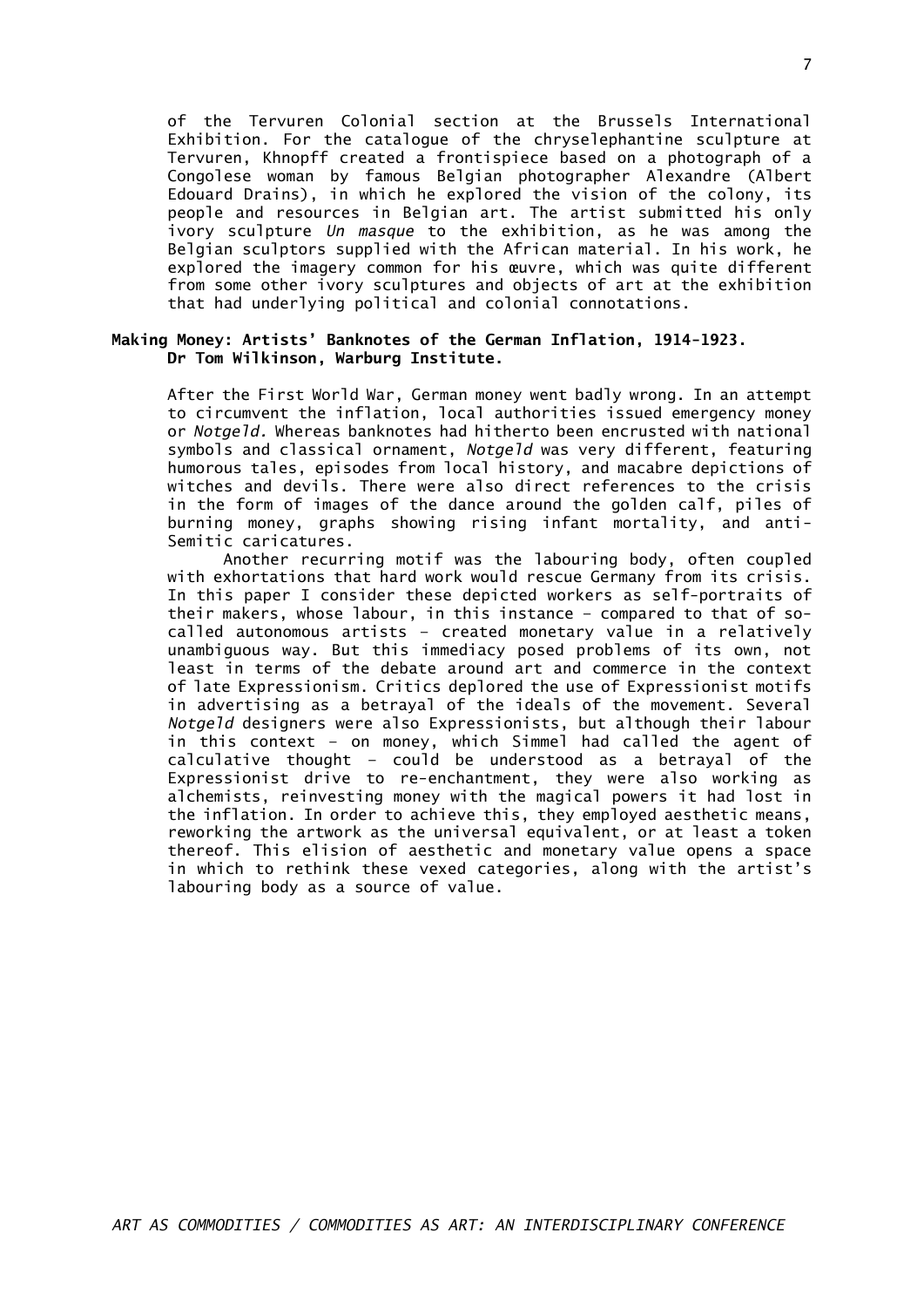of the Tervuren Colonial section at the Brussels International Exhibition. For the catalogue of the chryselephantine sculpture at Tervuren, Khnopff created a frontispiece based on a photograph of a Congolese woman by famous Belgian photographer Alexandre (Albert Edouard Drains), in which he explored the vision of the colony, its people and resources in Belgian art. The artist submitted his only ivory sculpture *Un masque* to the exhibition, as he was among the Belgian sculptors supplied with the African material. In his work, he explored the imagery common for his œuvre, which was quite different from some other ivory sculptures and objects of art at the exhibition that had underlying political and colonial connotations.

#### **Making Money: Artists' Banknotes of the German Inflation, 1914-1923. Dr Tom Wilkinson, Warburg Institute.**

After the First World War, German money went badly wrong. In an attempt to circumvent the inflation, local authorities issued emergency money or *Notgeld.* Whereas banknotes had hitherto been encrusted with national symbols and classical ornament, *Notgeld* was very different, featuring humorous tales, episodes from local history, and macabre depictions of witches and devils. There were also direct references to the crisis in the form of images of the dance around the golden calf, piles of burning money, graphs showing rising infant mortality, and anti-Semitic caricatures.

Another recurring motif was the labouring body, often coupled with exhortations that hard work would rescue Germany from its crisis. In this paper I consider these depicted workers as self-portraits of their makers, whose labour, in this instance – compared to that of socalled autonomous artists – created monetary value in a relatively unambiguous way. But this immediacy posed problems of its own, not least in terms of the debate around art and commerce in the context of late Expressionism. Critics deplored the use of Expressionist motifs in advertising as a betrayal of the ideals of the movement. Several *Notgeld* designers were also Expressionists, but although their labour in this context – on money, which Simmel had called the agent of calculative thought – could be understood as a betrayal of the Expressionist drive to re-enchantment, they were also working as alchemists, reinvesting money with the magical powers it had lost in the inflation. In order to achieve this, they employed aesthetic means, reworking the artwork as the universal equivalent, or at least a token thereof. This elision of aesthetic and monetary value opens a space in which to rethink these vexed categories, along with the artist's labouring body as a source of value.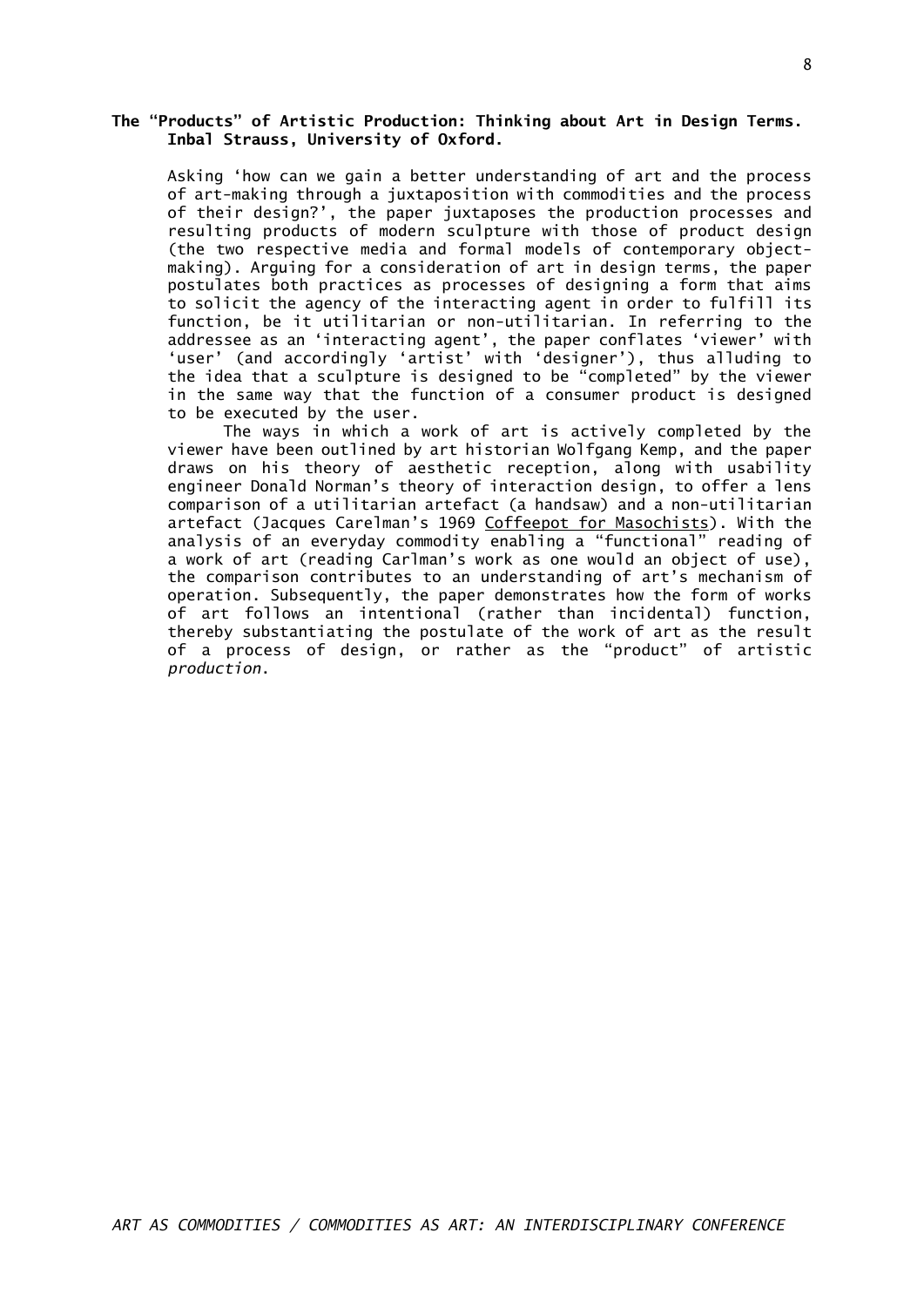#### **The "Products" of Artistic Production: Thinking about Art in Design Terms. Inbal Strauss, University of Oxford.**

Asking 'how can we gain a better understanding of art and the process of art-making through a juxtaposition with commodities and the process of their design?', the paper juxtaposes the production processes and resulting products of modern sculpture with those of product design (the two respective media and formal models of contemporary objectmaking). Arguing for a consideration of art in design terms, the paper postulates both practices as processes of designing a form that aims to solicit the agency of the interacting agent in order to fulfill its function, be it utilitarian or non-utilitarian. In referring to the addressee as an 'interacting agent', the paper conflates 'viewer' with 'user' (and accordingly 'artist' with 'designer'), thus alluding to the idea that a sculpture is designed to be "completed" by the viewer in the same way that the function of a consumer product is designed to be executed by the user.

The ways in which a work of art is actively completed by the viewer have been outlined by art historian Wolfgang Kemp, and the paper draws on his theory of aesthetic reception, along with usability engineer Donald Norman's theory of interaction design, to offer a lens comparison of a utilitarian artefact (a handsaw) and a non-utilitarian artefact (Jacques Carelman's 1969 Coffeepot for Masochists). With the analysis of an everyday commodity enabling a "functional" reading of a work of art (reading Carlman's work as one would an object of use), the comparison contributes to an understanding of art's mechanism of operation. Subsequently, the paper demonstrates how the form of works of art follows an intentional (rather than incidental) function, thereby substantiating the postulate of the work of art as the result of a process of design, or rather as the "product" of artistic *production*.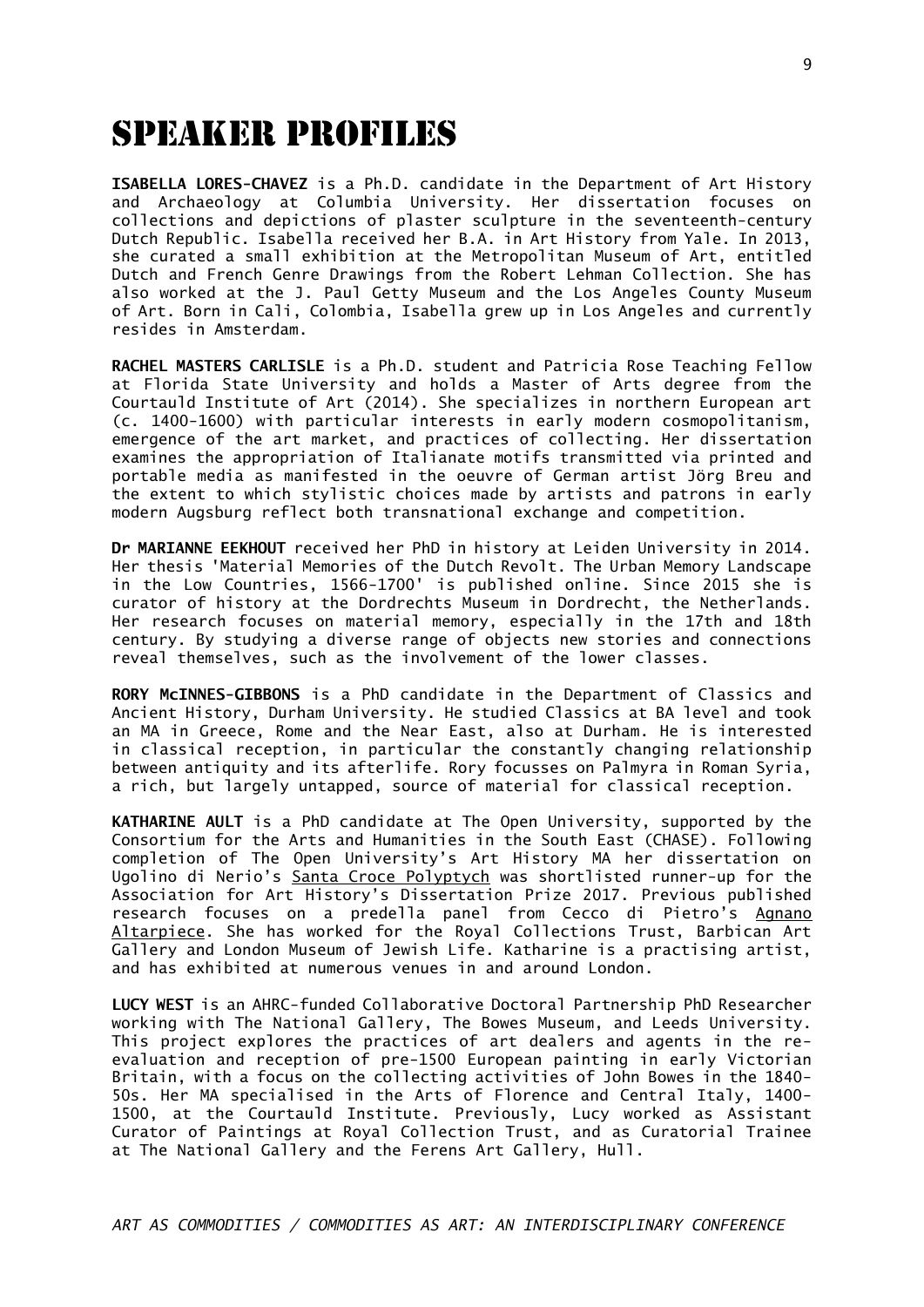# speaker profiles

**ISABELLA LORES-CHAVEZ** is a Ph.D. candidate in the Department of Art History and Archaeology at Columbia University. Her dissertation focuses on collections and depictions of plaster sculpture in the seventeenth-century Dutch Republic. Isabella received her B.A. in Art History from Yale. In 2013, she curated a small exhibition at the Metropolitan Museum of Art, entitled Dutch and French Genre Drawings from the Robert Lehman Collection. She has also worked at the J. Paul Getty Museum and the Los Angeles County Museum of Art. Born in Cali, Colombia, Isabella grew up in Los Angeles and currently resides in Amsterdam.

**RACHEL MASTERS CARLISLE** is a Ph.D. student and Patricia Rose Teaching Fellow at Florida State University and holds a Master of Arts degree from the Courtauld Institute of Art (2014). She specializes in northern European art (c. 1400-1600) with particular interests in early modern cosmopolitanism, emergence of the art market, and practices of collecting. Her dissertation examines the appropriation of Italianate motifs transmitted via printed and portable media as manifested in the oeuvre of German artist Jörg Breu and the extent to which stylistic choices made by artists and patrons in early modern Augsburg reflect both transnational exchange and competition.

**Dr MARIANNE EEKHOUT** received her PhD in history at Leiden University in 2014. Her thesis 'Material Memories of the Dutch Revolt. The Urban Memory Landscape in the Low Countries, 1566-1700' is published online. Since 2015 she is curator of history at the Dordrechts Museum in Dordrecht, the Netherlands. Her research focuses on material memory, especially in the 17th and 18th century. By studying a diverse range of objects new stories and connections reveal themselves, such as the involvement of the lower classes.

**RORY McINNES-GIBBONS** is a PhD candidate in the Department of Classics and Ancient History, Durham University. He studied Classics at BA level and took an MA in Greece, Rome and the Near East, also at Durham. He is interested in classical reception, in particular the constantly changing relationship between antiquity and its afterlife. Rory focusses on Palmyra in Roman Syria, a rich, but largely untapped, source of material for classical reception.

**KATHARINE AULT** is a PhD candidate at The Open University, supported by the Consortium for the Arts and Humanities in the South East (CHASE). Following completion of The Open University's Art History MA her dissertation on Ugolino di Nerio's Santa Croce Polyptych was shortlisted runner-up for the Association for Art History's Dissertation Prize 2017. Previous published research focuses on a predella panel from Cecco di Pietro's Agnano Altarpiece. She has worked for the Royal Collections Trust, Barbican Art Gallery and London Museum of Jewish Life. Katharine is a practising artist, and has exhibited at numerous venues in and around London.

**LUCY WEST** is an AHRC-funded Collaborative Doctoral Partnership PhD Researcher working with The National Gallery, The Bowes Museum, and Leeds University. This project explores the practices of art dealers and agents in the reevaluation and reception of pre-1500 European painting in early Victorian Britain, with a focus on the collecting activities of John Bowes in the 1840- 50s. Her MA specialised in the Arts of Florence and Central Italy, 1400- 1500, at the Courtauld Institute. Previously, Lucy worked as Assistant Curator of Paintings at Royal Collection Trust, and as Curatorial Trainee at The National Gallery and the Ferens Art Gallery, Hull.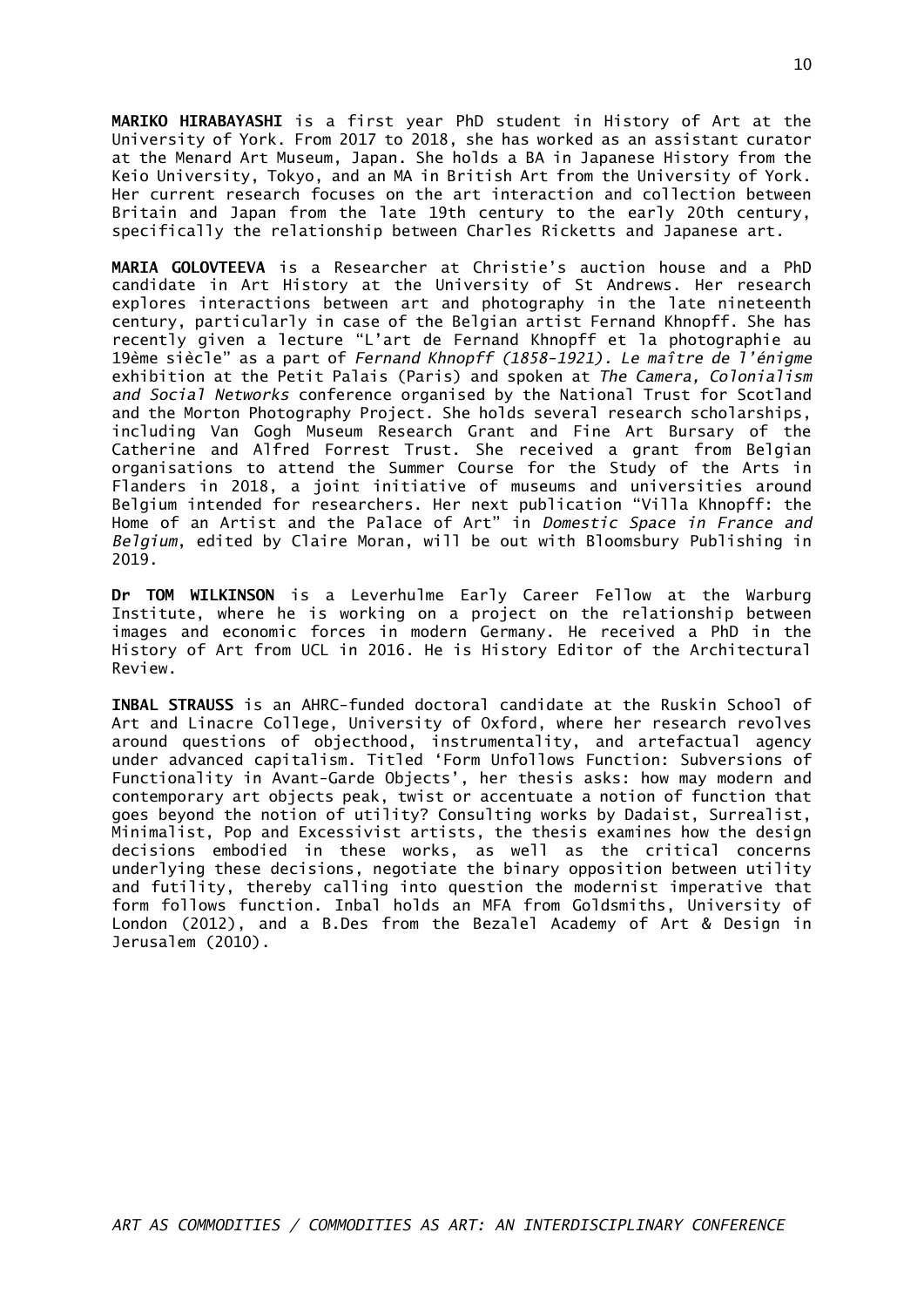**MARIKO HIRABAYASHI** is a first year PhD student in History of Art at the University of York. From 2017 to 2018, she has worked as an assistant curator at the Menard Art Museum, Japan. She holds a BA in Japanese History from the Keio University, Tokyo, and an MA in British Art from the University of York. Her current research focuses on the art interaction and collection between Britain and Japan from the late 19th century to the early 20th century, specifically the relationship between Charles Ricketts and Japanese art.

**MARIA GOLOVTEEVA** is a Researcher at Christie's auction house and a PhD candidate in Art History at the University of St Andrews. Her research explores interactions between art and photography in the late nineteenth century, particularly in case of the Belgian artist Fernand Khnopff. She has recently given a lecture "L'art de Fernand Khnopff et la photographie au 19ème siècle" as a part of *Fernand Khnopff (1858-1921). Le maître de l'énigme* exhibition at the Petit Palais (Paris) and spoken at *The Camera, Colonialism and Social Networks* conference organised by the National Trust for Scotland and the Morton Photography Project. She holds several research scholarships, including Van Gogh Museum Research Grant and Fine Art Bursary of the Catherine and Alfred Forrest Trust. She received a grant from Belgian organisations to attend the Summer Course for the Study of the Arts in Flanders in 2018, a joint initiative of museums and universities around Belgium intended for researchers. Her next publication "Villa Khnopff: the Home of an Artist and the Palace of Art" in *Domestic Space in France and Belgium*, edited by Claire Moran, will be out with Bloomsbury Publishing in 2019.

**Dr TOM WILKINSON** is a Leverhulme Early Career Fellow at the Warburg Institute, where he is working on a project on the relationship between images and economic forces in modern Germany. He received a PhD in the History of Art from UCL in 2016. He is History Editor of the Architectural Review.

**INBAL STRAUSS** is an AHRC-funded doctoral candidate at the Ruskin School of Art and Linacre College, University of Oxford, where her research revolves around questions of objecthood, instrumentality, and artefactual agency under advanced capitalism. Titled 'Form Unfollows Function: Subversions of Functionality in Avant-Garde Objects', her thesis asks: how may modern and contemporary art objects peak, twist or accentuate a notion of function that goes beyond the notion of utility? Consulting works by Dadaist, Surrealist, Minimalist, Pop and Excessivist artists, the thesis examines how the design decisions embodied in these works, as well as the critical concerns underlying these decisions, negotiate the binary opposition between utility and futility, thereby calling into question the modernist imperative that form follows function. Inbal holds an MFA from Goldsmiths, University of London (2012), and a B.Des from the Bezalel Academy of Art & Design in Jerusalem (2010).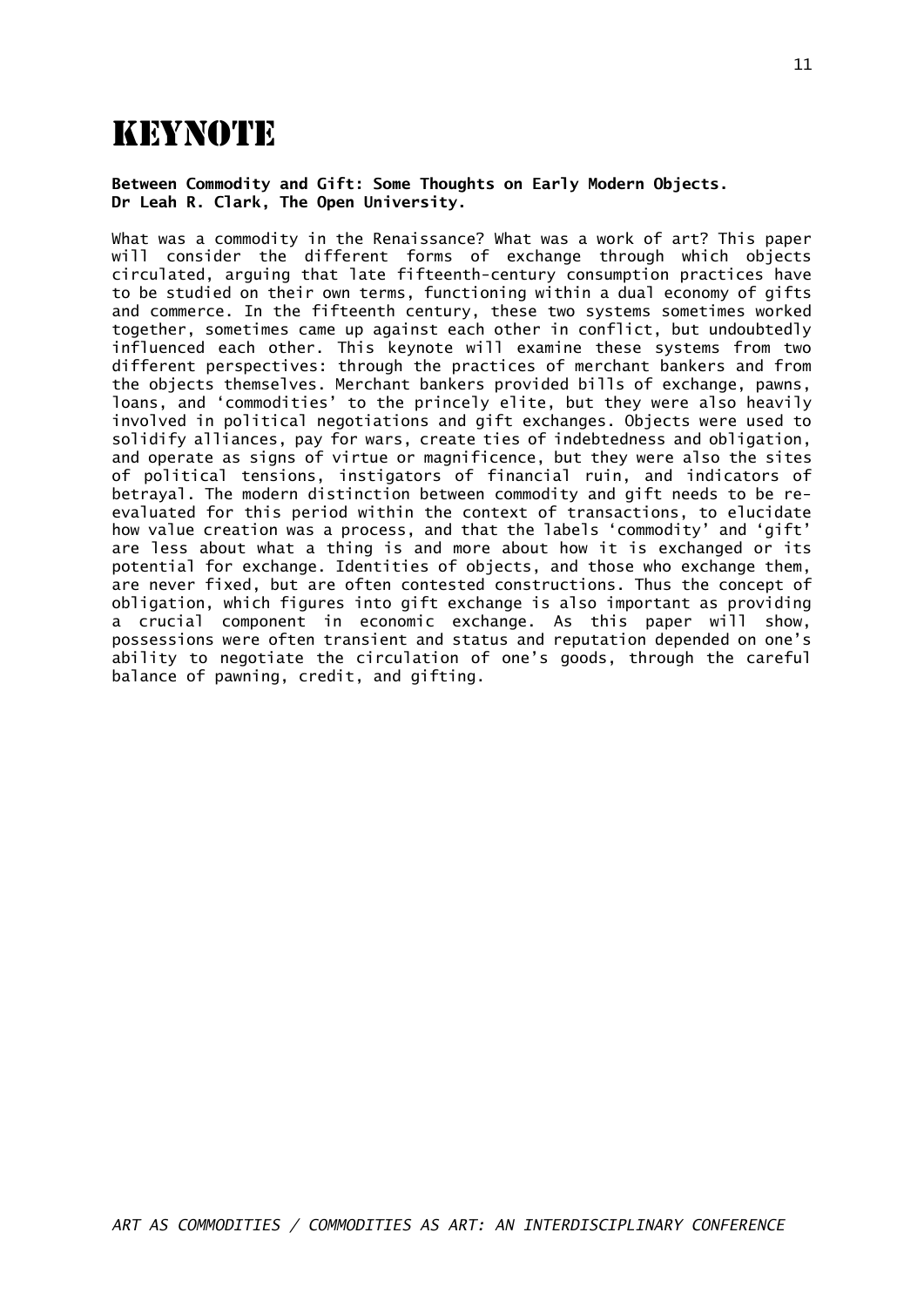# **KEYNOTE**

**Between Commodity and Gift: Some Thoughts on Early Modern Objects. Dr Leah R. Clark, The Open University.**

What was a commodity in the Renaissance? What was a work of art? This paper will consider the different forms of exchange through which objects circulated, arguing that late fifteenth-century consumption practices have to be studied on their own terms, functioning within a dual economy of gifts and commerce. In the fifteenth century, these two systems sometimes worked together, sometimes came up against each other in conflict, but undoubtedly influenced each other. This keynote will examine these systems from two different perspectives: through the practices of merchant bankers and from the objects themselves. Merchant bankers provided bills of exchange, pawns, loans, and 'commodities' to the princely elite, but they were also heavily involved in political negotiations and gift exchanges. Objects were used to solidify alliances, pay for wars, create ties of indebtedness and obligation, and operate as signs of virtue or magnificence, but they were also the sites of political tensions, instigators of financial ruin, and indicators of betrayal. The modern distinction between commodity and gift needs to be reevaluated for this period within the context of transactions, to elucidate how value creation was a process, and that the labels 'commodity' and 'gift' are less about what a thing is and more about how it is exchanged or its potential for exchange. Identities of objects, and those who exchange them, are never fixed, but are often contested constructions. Thus the concept of obligation, which figures into gift exchange is also important as providing a crucial component in economic exchange. As this paper will show, possessions were often transient and status and reputation depended on one's ability to negotiate the circulation of one's goods, through the careful balance of pawning, credit, and gifting.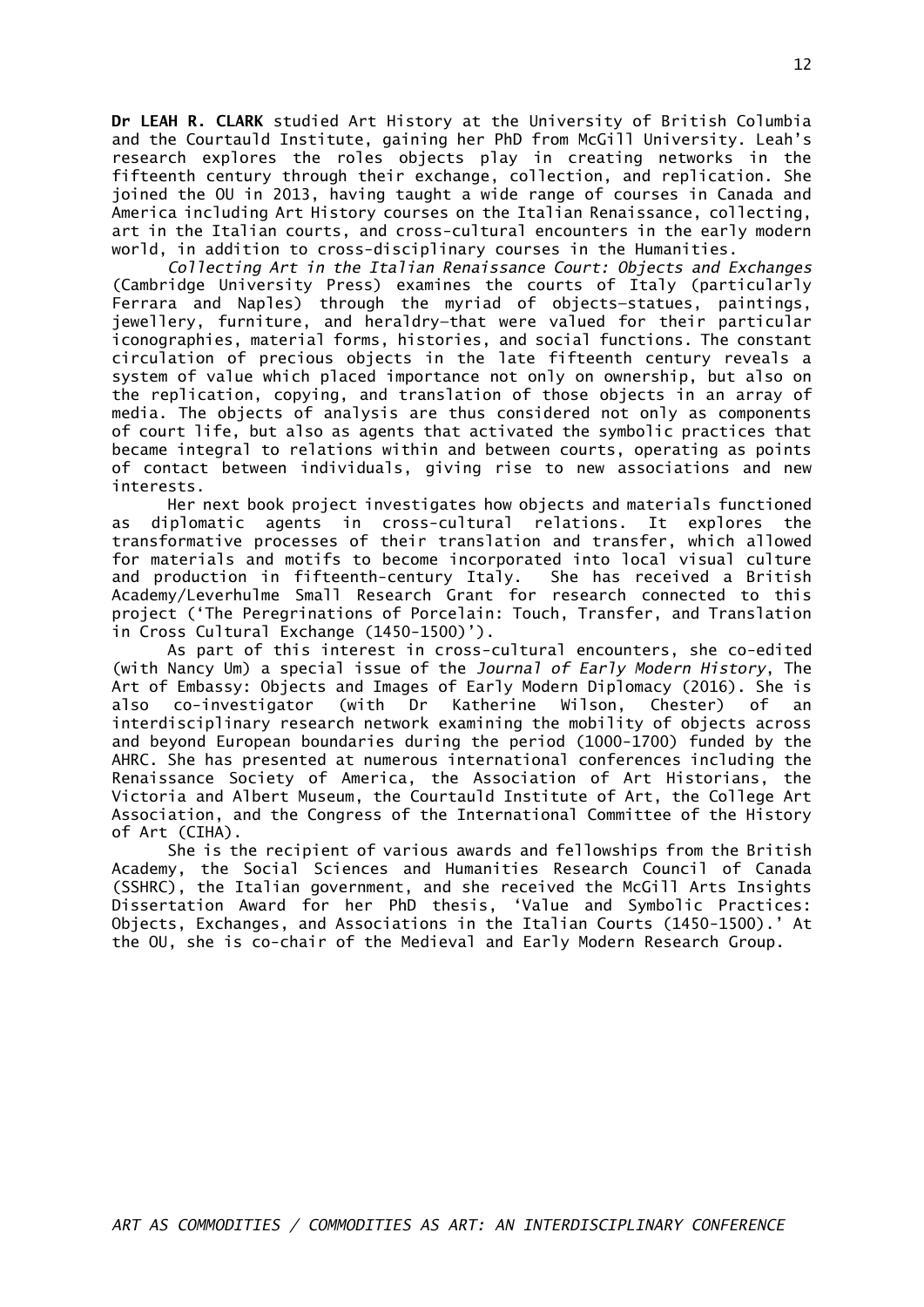**Dr LEAH R. CLARK** studied Art History at the University of British Columbia and the Courtauld Institute, gaining her PhD from McGill University. Leah's research explores the roles objects play in creating networks in the fifteenth century through their exchange, collection, and replication. She joined the OU in 2013, having taught a wide range of courses in Canada and America including Art History courses on the Italian Renaissance, collecting, art in the Italian courts, and cross-cultural encounters in the early modern world, in addition to cross-disciplinary courses in the Humanities.

*Collecting Art in the Italian Renaissance Court: Objects and Exchanges* (Cambridge University Press) examines the courts of Italy (particularly Ferrara and Naples) through the myriad of objects—statues, paintings, jewellery, furniture, and heraldry—that were valued for their particular iconographies, material forms, histories, and social functions. The constant circulation of precious objects in the late fifteenth century reveals a system of value which placed importance not only on ownership, but also on the replication, copying, and translation of those objects in an array of media. The objects of analysis are thus considered not only as components of court life, but also as agents that activated the symbolic practices that became integral to relations within and between courts, operating as points of contact between individuals, giving rise to new associations and new interests.

Her next book project investigates how objects and materials functioned as diplomatic agents in cross-cultural relations. It explores the transformative processes of their translation and transfer, which allowed for materials and motifs to become incorporated into local visual culture and production in fifteenth-century Italy. She has received a British Academy/Leverhulme Small Research Grant for research connected to this project ('The Peregrinations of Porcelain: Touch, Transfer, and Translation in Cross Cultural Exchange (1450-1500)').

As part of this interest in cross-cultural encounters, she co-edited (with Nancy Um) a special issue of the *Journal of Early Modern History*, The Art of Embassy: Objects and Images of Early Modern Diplomacy (2016). She is also co-investigator (with Dr Katherine Wilson, Chester) of an interdisciplinary research network examining the mobility of objects across and beyond European boundaries during the period (1000-1700) funded by the AHRC. She has presented at numerous international conferences including the Renaissance Society of America, the Association of Art Historians, the Victoria and Albert Museum, the Courtauld Institute of Art, the College Art Association, and the Congress of the International Committee of the History of Art (CIHA).

She is the recipient of various awards and fellowships from the British Academy, the Social Sciences and Humanities Research Council of Canada (SSHRC), the Italian government, and she received the McGill Arts Insights Dissertation Award for her PhD thesis, 'Value and Symbolic Practices: Objects, Exchanges, and Associations in the Italian Courts (1450-1500).' At the OU, she is co-chair of the Medieval and Early Modern Research Group.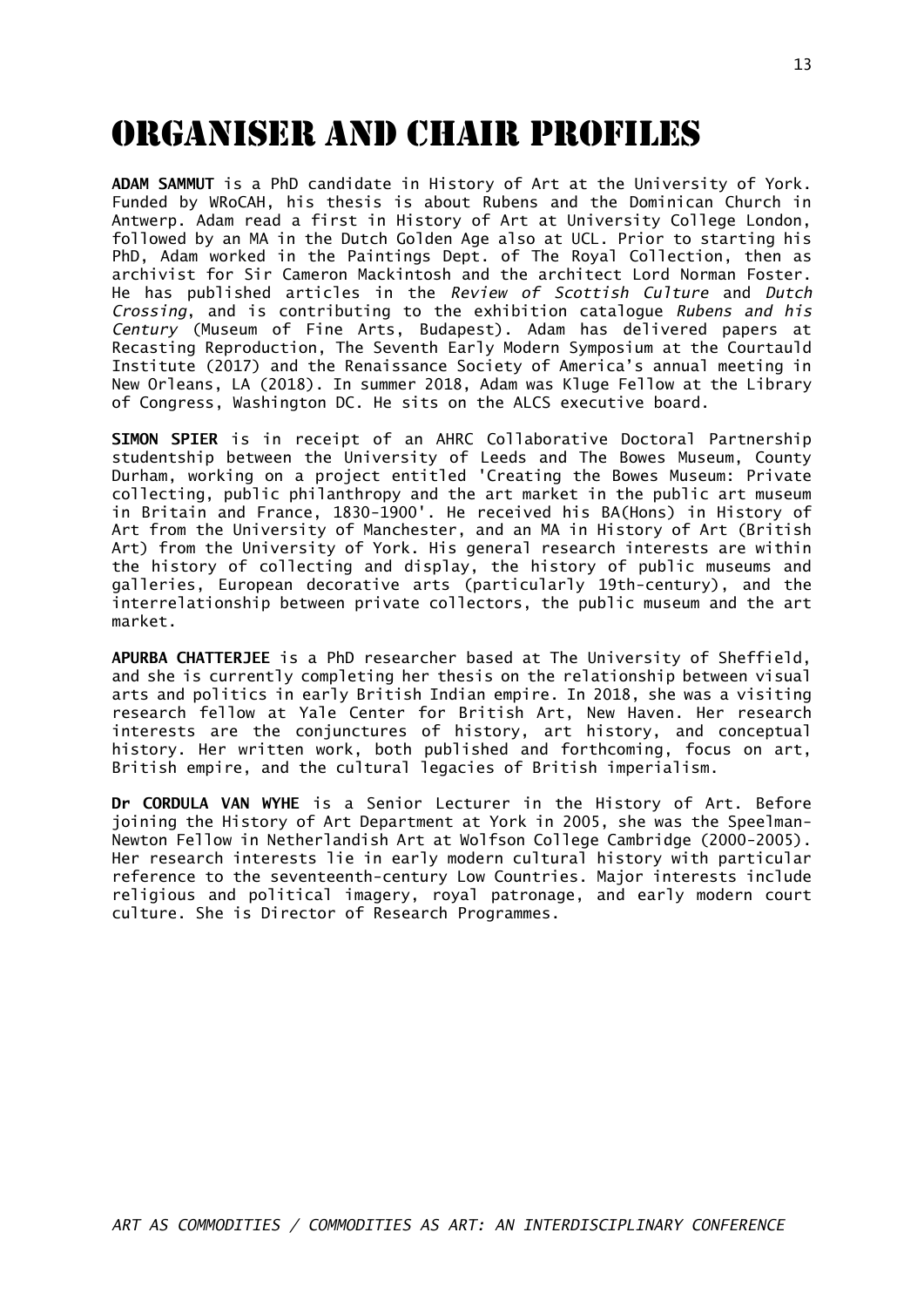# ORGANISER AND CHAIR profiles

**ADAM SAMMUT** is a PhD candidate in History of Art at the University of York. Funded by WRoCAH, his thesis is about Rubens and the Dominican Church in Antwerp. Adam read a first in History of Art at University College London, followed by an MA in the Dutch Golden Age also at UCL. Prior to starting his PhD, Adam worked in the Paintings Dept. of The Royal Collection, then as archivist for Sir Cameron Mackintosh and the architect Lord Norman Foster. He has published articles in the *Review of Scottish Culture* and *Dutch Crossing*, and is contributing to the exhibition catalogue *Rubens and his Century* (Museum of Fine Arts, Budapest). Adam has delivered papers at Recasting Reproduction, The Seventh Early Modern Symposium at the Courtauld Institute (2017) and the Renaissance Society of America's annual meeting in New Orleans, LA (2018). In summer 2018, Adam was Kluge Fellow at the Library of Congress, Washington DC. He sits on the ALCS executive board.

**SIMON SPIER** is in receipt of an AHRC Collaborative Doctoral Partnership studentship between the University of Leeds and The Bowes Museum, County Durham, working on a project entitled 'Creating the Bowes Museum: Private collecting, public philanthropy and the art market in the public art museum in Britain and France, 1830-1900'. He received his BA(Hons) in History of Art from the University of Manchester, and an MA in History of Art (British Art) from the University of York. His general research interests are within the history of collecting and display, the history of public museums and galleries, European decorative arts (particularly 19th-century), and the interrelationship between private collectors, the public museum and the art market.

**APURBA CHATTERJEE** is a PhD researcher based at The University of Sheffield, and she is currently completing her thesis on the relationship between visual arts and politics in early British Indian empire. In 2018, she was a visiting research fellow at Yale Center for British Art, New Haven. Her research interests are the conjunctures of history, art history, and conceptual history. Her written work, both published and forthcoming, focus on art, British empire, and the cultural legacies of British imperialism.

**Dr CORDULA VAN WYHE** is a Senior Lecturer in the History of Art. Before joining the History of Art Department at York in 2005, she was the Speelman-Newton Fellow in Netherlandish Art at Wolfson College Cambridge (2000-2005). Her research interests lie in early modern cultural history with particular reference to the seventeenth-century Low Countries. Major interests include religious and political imagery, royal patronage, and early modern court culture. She is Director of Research Programmes.